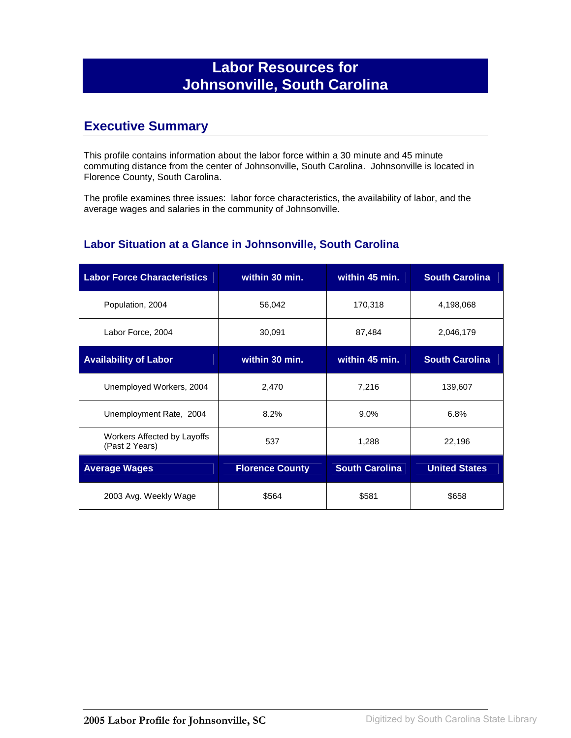## **Labor Resources for Johnsonville, South Carolina**

### **Executive Summary**

This profile contains information about the labor force within a 30 minute and 45 minute commuting distance from the center of Johnsonville, South Carolina. Johnsonville is located in Florence County, South Carolina.

The profile examines three issues: labor force characteristics, the availability of labor, and the average wages and salaries in the community of Johnsonville.

#### **Labor Situation at a Glance in Johnsonville, South Carolina**

| <b>Labor Force Characteristics</b>            | within 30 min.         | within 45 min.        | <b>South Carolina</b> |
|-----------------------------------------------|------------------------|-----------------------|-----------------------|
| Population, 2004                              | 56,042                 | 170,318               | 4,198,068             |
| Labor Force, 2004                             | 30,091                 | 87,484                | 2,046,179             |
| <b>Availability of Labor</b>                  | within 30 min.         | within 45 min.        | <b>South Carolina</b> |
| Unemployed Workers, 2004                      | 2,470                  | 7,216                 | 139,607               |
| Unemployment Rate, 2004                       | 8.2%                   | $9.0\%$               | 6.8%                  |
| Workers Affected by Layoffs<br>(Past 2 Years) | 537                    | 1,288                 | 22,196                |
| <b>Average Wages</b>                          | <b>Florence County</b> | <b>South Carolina</b> | <b>United States</b>  |
| 2003 Avg. Weekly Wage                         | \$564                  | \$581                 | \$658                 |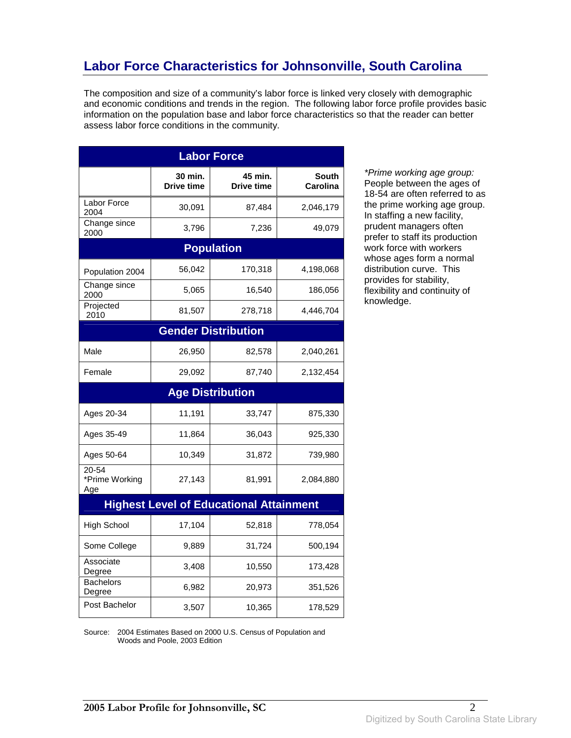## **Labor Force Characteristics for Johnsonville, South Carolina**

The composition and size of a community's labor force is linked very closely with demographic and economic conditions and trends in the region. The following labor force profile provides basic information on the population base and labor force characteristics so that the reader can better assess labor force conditions in the community.

| <b>Labor Force</b>                 |                              |                                                |                          |
|------------------------------------|------------------------------|------------------------------------------------|--------------------------|
|                                    | 30 min.<br><b>Drive time</b> | 45 min.<br>Drive time                          | <b>South</b><br>Carolina |
| Labor Force<br>2004                | 30,091                       | 87,484                                         | 2,046,179                |
| Change since<br>2000               | 3,796                        | 7,236                                          | 49,079                   |
|                                    |                              | <b>Population</b>                              |                          |
| Population 2004                    | 56,042                       | 170,318                                        | 4,198,068                |
| Change since<br>2000               | 5,065                        | 16,540                                         | 186,056                  |
| Projected<br>2010                  | 81,507                       | 278,718                                        | 4,446,704                |
|                                    |                              | <b>Gender Distribution</b>                     |                          |
| Male                               | 26,950                       | 82,578                                         | 2,040,261                |
| Female                             | 29,092                       | 87,740                                         | 2,132,454                |
|                                    |                              | <b>Age Distribution</b>                        |                          |
| Ages 20-34                         | 11,191                       | 33,747                                         | 875,330                  |
| Ages 35-49                         | 11,864                       | 36,043                                         | 925,330                  |
| Ages 50-64                         | 10,349                       | 31,872                                         | 739,980                  |
| $20 - 54$<br>*Prime Working<br>Age | 27,143                       | 81,991                                         | 2,084,880                |
|                                    |                              | <b>Highest Level of Educational Attainment</b> |                          |
| <b>High School</b>                 | 17,104                       | 52,818                                         | 778,054                  |
| Some College                       | 9,889                        | 31,724                                         | 500,194                  |
| Associate<br>Degree                | 3,408                        | 10,550                                         | 173,428                  |
| <b>Bachelors</b><br>Degree         | 6,982                        | 20,973                                         | 351,526                  |
| Post Bachelor                      | 3,507                        | 10,365                                         | 178,529                  |

\*Prime working age group: People between the ages of 18-54 are often referred to as the prime working age group. In staffing a new facility, prudent managers often prefer to staff its production work force with workers whose ages form a normal distribution curve. This provides for stability, flexibility and continuity of knowledge.

Source: 2004 Estimates Based on 2000 U.S. Census of Population and Woods and Poole, 2003 Edition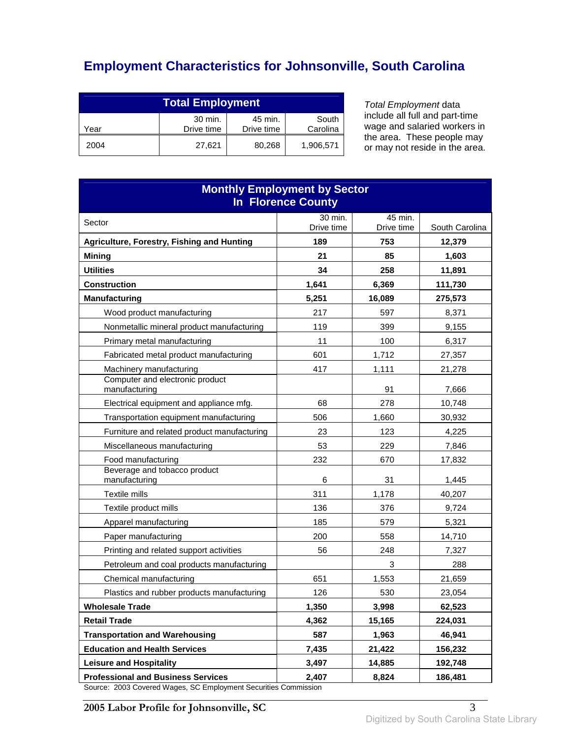# **Employment Characteristics for Johnsonville, South Carolina**

| <b>Total Employment</b>                                                     |        |        |           |
|-----------------------------------------------------------------------------|--------|--------|-----------|
| 30 min.<br>45 min.<br>South<br>Drive time<br>Carolina<br>Drive time<br>Year |        |        |           |
| 2004                                                                        | 27.621 | 80,268 | 1,906,571 |

Total Employment data include all full and part-time wage and salaried workers in the area. These people may or may not reside in the area.

| <b>Monthly Employment by Sector</b><br><b>In Florence County</b>                  |                       |                       |                |
|-----------------------------------------------------------------------------------|-----------------------|-----------------------|----------------|
| Sector                                                                            | 30 min.<br>Drive time | 45 min.<br>Drive time | South Carolina |
| Agriculture, Forestry, Fishing and Hunting                                        | 189                   | 753                   | 12,379         |
| <b>Mining</b>                                                                     | 21                    | 85                    | 1,603          |
| <b>Utilities</b>                                                                  | 34                    | 258                   | 11,891         |
| <b>Construction</b>                                                               | 1,641                 | 6,369                 | 111,730        |
| <b>Manufacturing</b>                                                              | 5,251                 | 16,089                | 275,573        |
| Wood product manufacturing                                                        | 217                   | 597                   | 8,371          |
| Nonmetallic mineral product manufacturing                                         | 119                   | 399                   | 9,155          |
| Primary metal manufacturing                                                       | 11                    | 100                   | 6,317          |
| Fabricated metal product manufacturing                                            | 601                   | 1,712                 | 27,357         |
| Machinery manufacturing                                                           | 417                   | 1,111                 | 21,278         |
| Computer and electronic product<br>manufacturing                                  |                       | 91                    | 7,666          |
| Electrical equipment and appliance mfg.                                           | 68                    | 278                   | 10,748         |
| Transportation equipment manufacturing                                            | 506                   | 1,660                 | 30,932         |
| Furniture and related product manufacturing                                       | 23                    | 123                   | 4,225          |
| Miscellaneous manufacturing                                                       | 53                    | 229                   | 7,846          |
| Food manufacturing                                                                | 232                   | 670                   | 17,832         |
| Beverage and tobacco product<br>manufacturing                                     | 6                     | 31                    | 1,445          |
| Textile mills                                                                     | 311                   | 1,178                 | 40,207         |
| Textile product mills                                                             | 136                   | 376                   | 9,724          |
| Apparel manufacturing                                                             | 185                   | 579                   | 5,321          |
| Paper manufacturing                                                               | 200                   | 558                   | 14,710         |
| Printing and related support activities                                           | 56                    | 248                   | 7,327          |
| Petroleum and coal products manufacturing                                         |                       | 3                     | 288            |
| Chemical manufacturing                                                            | 651                   | 1,553                 | 21,659         |
| Plastics and rubber products manufacturing                                        | 126                   | 530                   | 23,054         |
| <b>Wholesale Trade</b>                                                            | 1,350                 | 3,998                 | 62,523         |
| <b>Retail Trade</b>                                                               | 4,362                 | 15,165                | 224,031        |
| <b>Transportation and Warehousing</b>                                             | 587                   | 1,963                 | 46,941         |
| <b>Education and Health Services</b>                                              | 7,435                 | 21,422                | 156,232        |
| <b>Leisure and Hospitality</b>                                                    | 3,497                 | 14,885                | 192,748        |
| <b>Professional and Business Services</b><br>2003 Covered Wesse CC Employment Coo | 2,407                 | 8,824                 | 186.481        |

Source: 2003 Covered Wages, SC Employment Securities Commission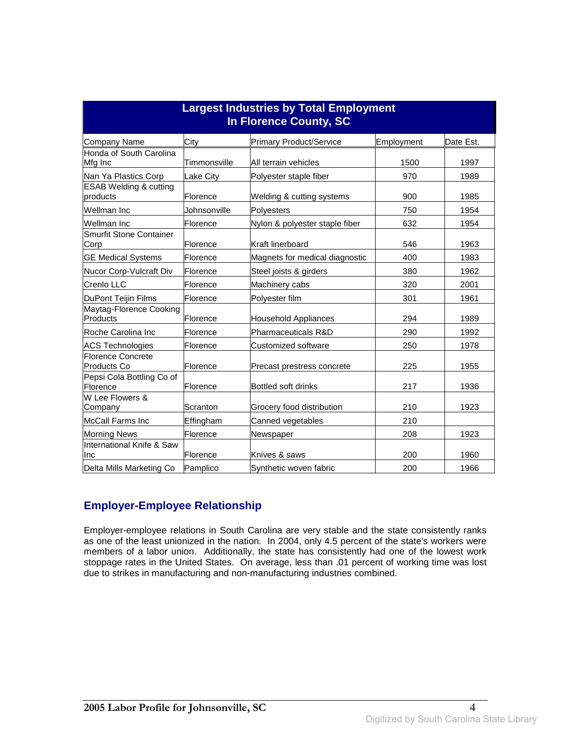| <b>Largest Industries by Total Employment</b><br><b>In Florence County, SC</b> |              |                                |            |           |
|--------------------------------------------------------------------------------|--------------|--------------------------------|------------|-----------|
| <b>Company Name</b>                                                            | City         | <b>Primary Product/Service</b> | Employment | Date Est. |
| Honda of South Carolina<br>Mfg Inc                                             | Timmonsville | All terrain vehicles           | 1500       | 1997      |
| Nan Ya Plastics Corp                                                           | Lake City    | Polyester staple fiber         | 970        | 1989      |
| <b>ESAB Welding &amp; cutting</b><br>products                                  | Florence     | Welding & cutting systems      | 900        | 1985      |
| Wellman Inc                                                                    | Johnsonville | Polyesters                     | 750        | 1954      |
| Wellman Inc                                                                    | Florence     | Nylon & polyester staple fiber | 632        | 1954      |
| Smurfit Stone Container<br>Corp                                                | Florence     | Kraft linerboard               | 546        | 1963      |
| <b>GE Medical Systems</b>                                                      | Florence     | Magnets for medical diagnostic | 400        | 1983      |
| Nucor Corp-Vulcraft Div                                                        | Florence     | Steel joists & girders         | 380        | 1962      |
| Crenlo LLC                                                                     | Florence     | Machinery cabs                 | 320        | 2001      |
| DuPont Teijin Films                                                            | Florence     | Polyester film                 | 301        | 1961      |
| Maytag-Florence Cooking<br>Products                                            | Florence     | <b>Household Appliances</b>    | 294        | 1989      |
| Roche Carolina Inc                                                             | Florence     | Pharmaceuticals R&D            | 290        | 1992      |
| <b>ACS Technologies</b>                                                        | Florence     | Customized software            | 250        | 1978      |
| <b>Florence Concrete</b><br><b>Products Co</b>                                 | Florence     | Precast prestress concrete     | 225        | 1955      |
| Pepsi Cola Bottling Co of<br>Florence                                          | Florence     | Bottled soft drinks            | 217        | 1936      |
| W Lee Flowers &<br>Company                                                     | Scranton     | Grocery food distribution      | 210        | 1923      |
| <b>McCall Farms Inc</b>                                                        | Effingham    | Canned vegetables              | 210        |           |
| <b>Morning News</b>                                                            | Florence     | Newspaper                      | 208        | 1923      |
| International Knife & Saw<br>Inc                                               | Florence     | Knives & saws                  | 200        | 1960      |
| Delta Mills Marketing Co                                                       | Pamplico     | Synthetic woven fabric         | 200        | 1966      |

#### **Employer-Employee Relationship**

Employer-employee relations in South Carolina are very stable and the state consistently ranks as one of the least unionized in the nation. In 2004, only 4.5 percent of the state's workers were members of a labor union. Additionally, the state has consistently had one of the lowest work stoppage rates in the United States. On average, less than .01 percent of working time was lost due to strikes in manufacturing and non-manufacturing industries combined.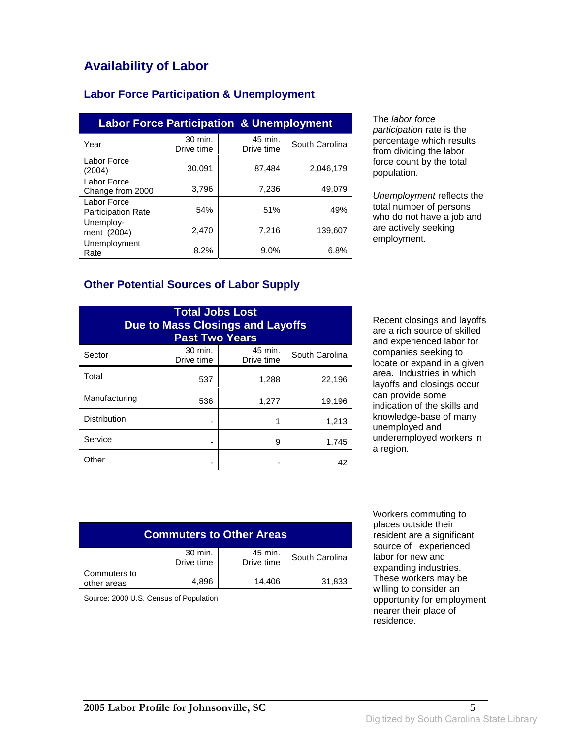### **Labor Force Participation & Unemployment**

| <b>Labor Force Participation &amp; Unemployment</b> |                       |                       |                |  |
|-----------------------------------------------------|-----------------------|-----------------------|----------------|--|
| Year                                                | 30 min.<br>Drive time | 45 min.<br>Drive time | South Carolina |  |
| Labor Force<br>(2004)                               | 30,091                | 87,484                | 2,046,179      |  |
| Labor Force<br>Change from 2000                     | 3.796                 | 7,236                 | 49,079         |  |
| Labor Force<br><b>Participation Rate</b>            | 54%                   | 51%                   | 49%            |  |
| Unemploy-<br>ment (2004)                            | 2,470                 | 7,216                 | 139.607        |  |
| Unemployment<br>Rate                                | 8.2%                  | 9.0%                  | 6.8%           |  |

The labor force participation rate is the percentage which results from dividing the labor force count by the total population.

Unemployment reflects the total number of persons who do not have a job and are actively seeking employment.

#### **Other Potential Sources of Labor Supply**

| <b>Total Jobs Lost</b><br><b>Due to Mass Closings and Layoffs</b><br><b>Past Two Years</b> |                       |                       |                |
|--------------------------------------------------------------------------------------------|-----------------------|-----------------------|----------------|
| Sector                                                                                     | 30 min.<br>Drive time | 45 min.<br>Drive time | South Carolina |
| Total                                                                                      | 537                   | 1,288                 | 22,196         |
| Manufacturing                                                                              | 536                   | 1,277                 | 19,196         |
| <b>Distribution</b>                                                                        |                       |                       | 1,213          |
| Service                                                                                    |                       | 9                     | 1,745          |
| Other                                                                                      |                       |                       | 42             |

Recent closings and layoffs are a rich source of skilled and experienced labor for companies seeking to locate or expand in a given area. Industries in which layoffs and closings occur can provide some indication of the skills and knowledge-base of many unemployed and underemployed workers in a region.

| <b>Commuters to Other Areas</b> |                       |                       |                |
|---------------------------------|-----------------------|-----------------------|----------------|
|                                 | 30 min.<br>Drive time | 45 min.<br>Drive time | South Carolina |
| Commuters to<br>other areas     | 4.896                 | 14.406                | 31,833         |

Source: 2000 U.S. Census of Population

 Workers commuting to places outside their resident are a significant source of experienced labor for new and expanding industries. These workers may be willing to consider an opportunity for employment nearer their place of residence.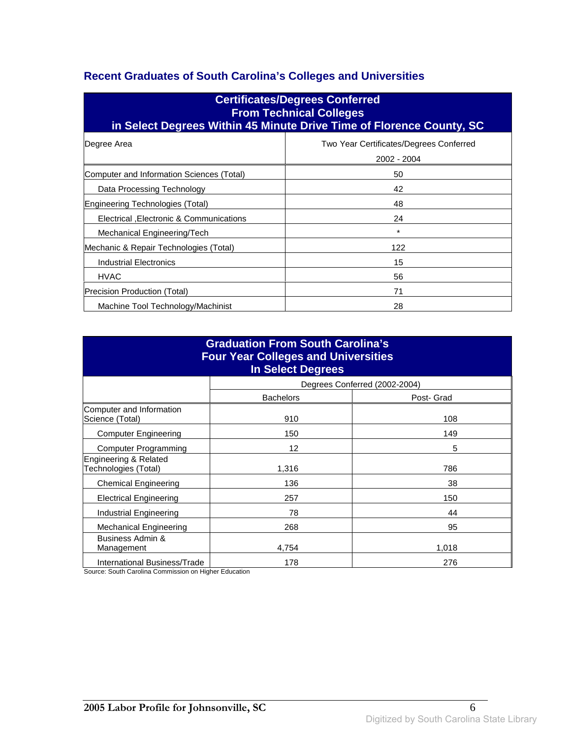### **Recent Graduates of South Carolina's Colleges and Universities**

| <b>Certificates/Degrees Conferred</b><br><b>From Technical Colleges</b><br>in Select Degrees Within 45 Minute Drive Time of Florence County, SC |                                                        |  |  |
|-------------------------------------------------------------------------------------------------------------------------------------------------|--------------------------------------------------------|--|--|
| Degree Area                                                                                                                                     | Two Year Certificates/Degrees Conferred<br>2002 - 2004 |  |  |
| Computer and Information Sciences (Total)                                                                                                       | 50                                                     |  |  |
| Data Processing Technology                                                                                                                      | 42                                                     |  |  |
| Engineering Technologies (Total)                                                                                                                | 48                                                     |  |  |
| Electrical , Electronic & Communications                                                                                                        | 24                                                     |  |  |
| Mechanical Engineering/Tech                                                                                                                     | $\star$                                                |  |  |
| Mechanic & Repair Technologies (Total)                                                                                                          | 122                                                    |  |  |
| Industrial Electronics                                                                                                                          | 15                                                     |  |  |
| <b>HVAC</b>                                                                                                                                     | 56                                                     |  |  |
| Precision Production (Total)                                                                                                                    | 71                                                     |  |  |
| Machine Tool Technology/Machinist                                                                                                               | 28                                                     |  |  |

| <b>Graduation From South Carolina's</b><br><b>Four Year Colleges and Universities</b><br><b>In Select Degrees</b> |                  |                               |  |
|-------------------------------------------------------------------------------------------------------------------|------------------|-------------------------------|--|
|                                                                                                                   |                  | Degrees Conferred (2002-2004) |  |
|                                                                                                                   | <b>Bachelors</b> | Post- Grad                    |  |
| Computer and Information<br>Science (Total)                                                                       | 910              | 108                           |  |
| <b>Computer Engineering</b>                                                                                       | 150              | 149                           |  |
| <b>Computer Programming</b>                                                                                       | 12               | 5                             |  |
| Engineering & Related<br>Technologies (Total)                                                                     | 1,316            | 786                           |  |
| <b>Chemical Engineering</b>                                                                                       | 136              | 38                            |  |
| <b>Electrical Engineering</b>                                                                                     | 257              | 150                           |  |
| Industrial Engineering                                                                                            | 78               | 44                            |  |
| <b>Mechanical Engineering</b>                                                                                     | 268              | 95                            |  |
| Business Admin &<br>Management                                                                                    | 4,754            | 1,018                         |  |
| International Business/Trade                                                                                      | 178              | 276                           |  |

Source: South Carolina Commission on Higher Education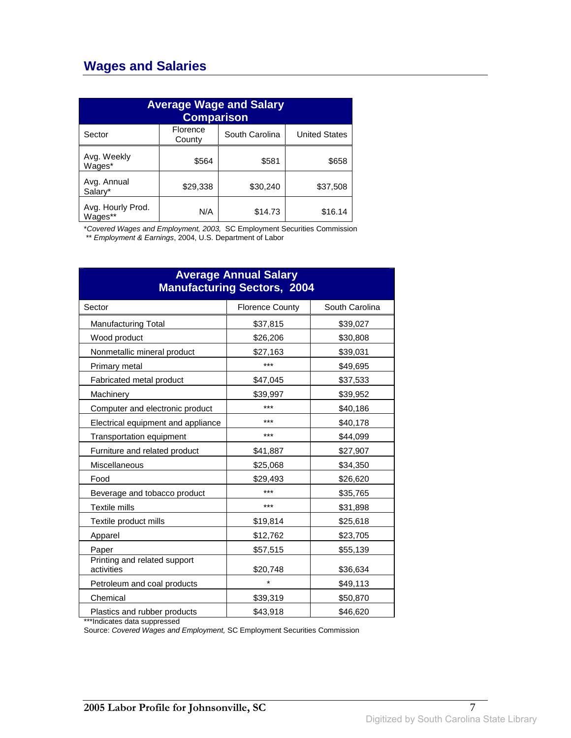## **Wages and Salaries**

| <b>Average Wage and Salary</b><br><b>Comparison</b> |                    |                |                      |
|-----------------------------------------------------|--------------------|----------------|----------------------|
| Sector                                              | Florence<br>County | South Carolina | <b>United States</b> |
| Avg. Weekly<br>Wages*                               | \$564              | \$581          | \$658                |
| Avg. Annual<br>Salary*                              | \$29,338           | \$30,240       | \$37,508             |
| Avg. Hourly Prod.<br>Wages**                        | N/A                | \$14.73        | \$16.14              |

\*Covered Wages and Employment, 2003, SC Employment Securities Commission

\*\* Employment & Earnings, 2004, U.S. Department of Labor

| <b>Average Annual Salary</b><br><b>Manufacturing Sectors, 2004</b> |                        |                |  |
|--------------------------------------------------------------------|------------------------|----------------|--|
| Sector                                                             | <b>Florence County</b> | South Carolina |  |
| <b>Manufacturing Total</b>                                         | \$37,815               | \$39,027       |  |
| Wood product                                                       | \$26,206               | \$30,808       |  |
| Nonmetallic mineral product                                        | \$27,163               | \$39,031       |  |
| Primary metal                                                      | ***                    | \$49,695       |  |
| Fabricated metal product                                           | \$47,045               | \$37,533       |  |
| Machinery                                                          | \$39,997               | \$39,952       |  |
| Computer and electronic product                                    | ***                    | \$40,186       |  |
| Electrical equipment and appliance                                 | ***                    | \$40,178       |  |
| Transportation equipment                                           | ***                    | \$44,099       |  |
| Furniture and related product                                      | \$41,887               | \$27,907       |  |
| <b>Miscellaneous</b>                                               | \$25,068               | \$34,350       |  |
| Food                                                               | \$29,493               | \$26,620       |  |
| Beverage and tobacco product                                       | ***                    | \$35,765       |  |
| <b>Textile mills</b>                                               | ***                    | \$31,898       |  |
| Textile product mills                                              | \$19,814               | \$25,618       |  |
| Apparel                                                            | \$12,762               | \$23,705       |  |
| Paper                                                              | \$57,515               | \$55,139       |  |
| Printing and related support<br>activities                         | \$20,748               | \$36,634       |  |
| Petroleum and coal products                                        | $\star$                | \$49,113       |  |
| Chemical                                                           | \$39,319               | \$50,870       |  |
| Plastics and rubber products                                       | \$43,918               | \$46,620       |  |

\*\*\*Indicates data suppressed

Source: Covered Wages and Employment, SC Employment Securities Commission